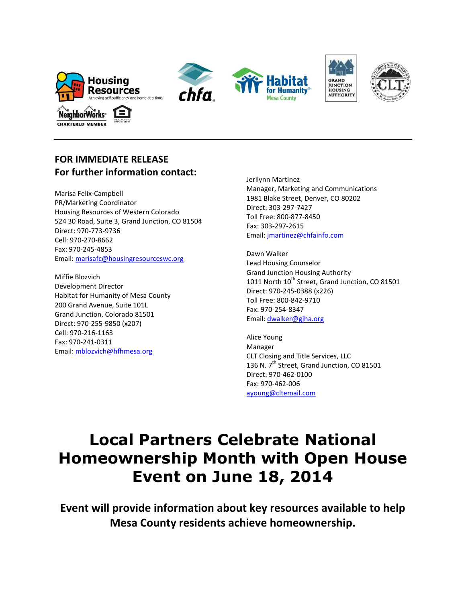









## **FOR IMMEDIATE RELEASE For further information contact:**

Marisa Felix-Campbell PR/Marketing Coordinator Housing Resources of Western Colorado 524 30 Road, Suite 3, Grand Junction, CO 81504 Direct: 970-773-9736 Cell: 970-270-8662 Fax: 970-245-4853 Email: [marisafc@housingresourceswc.org](mailto:eldonk@housingresourceswc.org)

Miffie Blozvich Development Director Habitat for Humanity of Mesa County 200 Grand Avenue, Suite 101L Grand Junction, Colorado 81501 Direct: 970-255-9850 (x207) Cell: 970-216-1163 Fax: 970-241-0311 Email: [mblozvich@hfhmesa.org](mailto:mblozvich@hfhmesa.org)

Jerilynn Martinez Manager, Marketing and Communications 1981 Blake Street, Denver, CO 80202 Direct: 303-297-7427 Toll Free: 800-877-8450 Fax: 303-297-2615 Email: [jmartinez@chfainfo.com](mailto:jmartinez@chfainfo.com)

Dawn Walker Lead Housing Counselor Grand Junction Housing Authority 1011 North 10<sup>th</sup> Street, Grand Junction, CO 81501 Direct: 970-245-0388 (x226) Toll Free: 800-842-9710 Fax: 970-254-8347 Email: [dwalker@gjha.org](http://www.gjha.org/)

Alice Young Manager CLT Closing and Title Services, LLC 136 N. 7<sup>th</sup> Street, Grand Junction, CO 81501 Direct: 970-462-0100 Fax: 970-462-006 [ayoung@cltemail.com](http://www.cltontheweb.com/)

## **Local Partners Celebrate National Homeownership Month with Open House Event on June 18, 2014**

**Event will provide information about key resources available to help Mesa County residents achieve homeownership.**